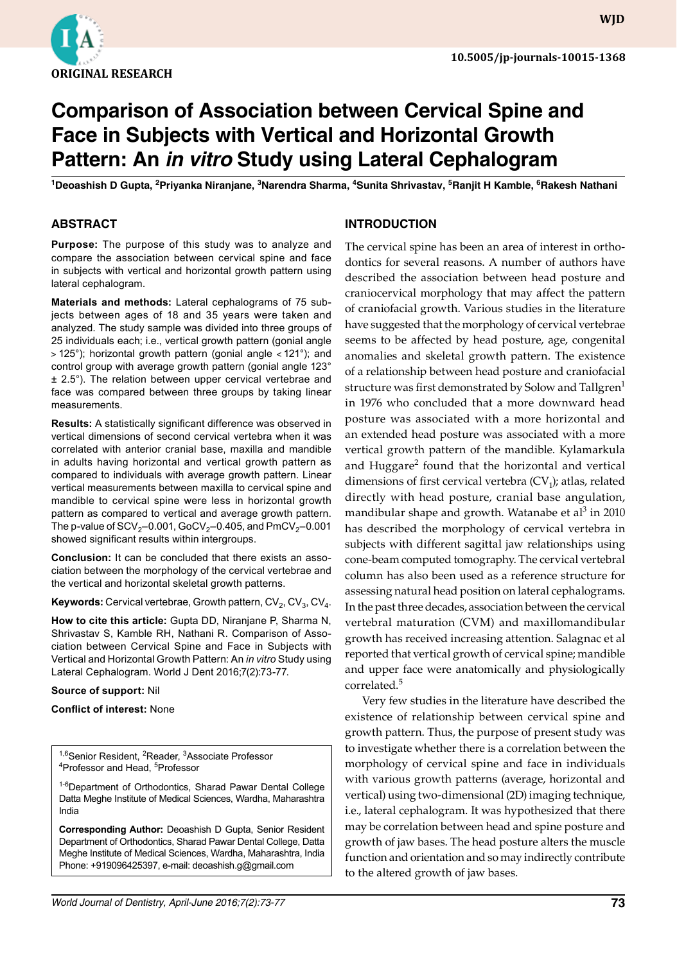

# **Comparison of Association between Cervical Spine and Face in Subjects with Vertical and Horizontal Growth Pattern: An** *in vitro* **Study using Lateral Cephalogram**

<sup>1</sup>Deoashish D Gupta, <sup>2</sup>Priyanka Niranjane, <sup>3</sup>Narendra Sharma, <sup>4</sup>Sunita Shrivastav, <sup>5</sup>Ranjit H Kamble, <sup>6</sup>Rakesh Nathani

# **ABSTRACT**

**Purpose:** The purpose of this study was to analyze and compare the association between cervical spine and face in subjects with vertical and horizontal growth pattern using lateral cephalogram.

**Materials and methods:** Lateral cephalograms of 75 subjects between ages of 18 and 35 years were taken and analyzed. The study sample was divided into three groups of 25 individuals each; i.e., vertical growth pattern (gonial angle ˃ 125°); horizontal growth pattern (gonial angle ˂121°); and control group with average growth pattern (gonial angle 123° ± 2.5°). The relation between upper cervical vertebrae and face was compared between three groups by taking linear measurements.

**Results:** A statistically significant difference was observed in vertical dimensions of second cervical vertebra when it was correlated with anterior cranial base, maxilla and mandible in adults having horizontal and vertical growth pattern as compared to individuals with average growth pattern. Linear vertical measurements between maxilla to cervical spine and mandible to cervical spine were less in horizontal growth pattern as compared to vertical and average growth pattern. The p-value of  $SCV_2$ –0.001, GoCV<sub>2</sub>–0.405, and PmCV<sub>2</sub>–0.001 showed significant results within intergroups.

**Conclusion:** It can be concluded that there exists an association between the morphology of the cervical vertebrae and the vertical and horizontal skeletal growth patterns.

**Keywords:** Cervical vertebrae, Growth pattern,  $CV_2$ ,  $CV_3$ ,  $CV_4$ .

**How to cite this article:** Gupta DD, Niranjane P, Sharma N, Shrivastav S, Kamble RH, Nathani R. Comparison of Association between Cervical Spine and Face in Subjects with Vertical and Horizontal Growth Pattern: An *in vitro* Study using Lateral Cephalogram. World J Dent 2016;7(2):73-77.

### **Source of support:** Nil

**Conflict of interest:** None

<sup>1,6</sup>Senior Resident, <sup>2</sup>Reader, <sup>3</sup>Associate Professor <sup>4</sup>Professor and Head, <sup>5</sup>Professor

<sup>1-6</sup>Department of Orthodontics, Sharad Pawar Dental College Datta Meghe Institute of Medical Sciences, Wardha, Maharashtra India

**Corresponding Author:** Deoashish D Gupta, Senior Resident Department of Orthodontics, Sharad Pawar Dental College, Datta Meghe Institute of Medical Sciences, Wardha, Maharashtra, India Phone: +919096425397, e-mail: deoashish.g@gmail.com

**INTRODUCTION**

described the association between head posture and craniocervical morphology that may affect the pattern of craniofacial growth. Various studies in the literature have suggested that the morphology of cervical vertebrae seems to be affected by head posture, age, congenital anomalies and skeletal growth pattern. The existence of a relationship between head posture and craniofacial structure was first demonstrated by Solow and Tallgren<sup>1</sup> in 1976 who concluded that a more downward head posture was associated with a more horizontal and an extended head posture was associated with a more vertical growth pattern of the mandible. Kylamarkula and Huggare<sup>2</sup> found that the horizontal and vertical dimensions of first cervical vertebra  $(CV_1)$ ; atlas, related directly with head posture, cranial base angulation, mandibular shape and growth. Watanabe et al $^3$  in 2010 has described the morphology of cervical vertebra in subjects with different sagittal jaw relationships using cone-beam computed tomography. The cervical vertebral column has also been used as a reference structure for assessing natural head position on lateral cephalograms. In the past three decades, association between the cervical vertebral maturation (CVM) and maxillomandibular growth has received increasing attention. Salagnac et al reported that vertical growth of cervical spine; mandible and upper face were anatomically and physiologically correlated.<sup>5</sup>

The cervical spine has been an area of interest in orthodontics for several reasons. A number of authors have

Very few studies in the literature have described the existence of relationship between cervical spine and growth pattern. Thus, the purpose of present study was to investigate whether there is a correlation between the morphology of cervical spine and face in individuals with various growth patterns (average, horizontal and vertical) using two-dimensional (2D) imaging technique, i.e., lateral cephalogram. It was hypothesized that there may be correlation between head and spine posture and growth of jaw bases. The head posture alters the muscle function and orientation and so may indirectly contribute to the altered growth of jaw bases.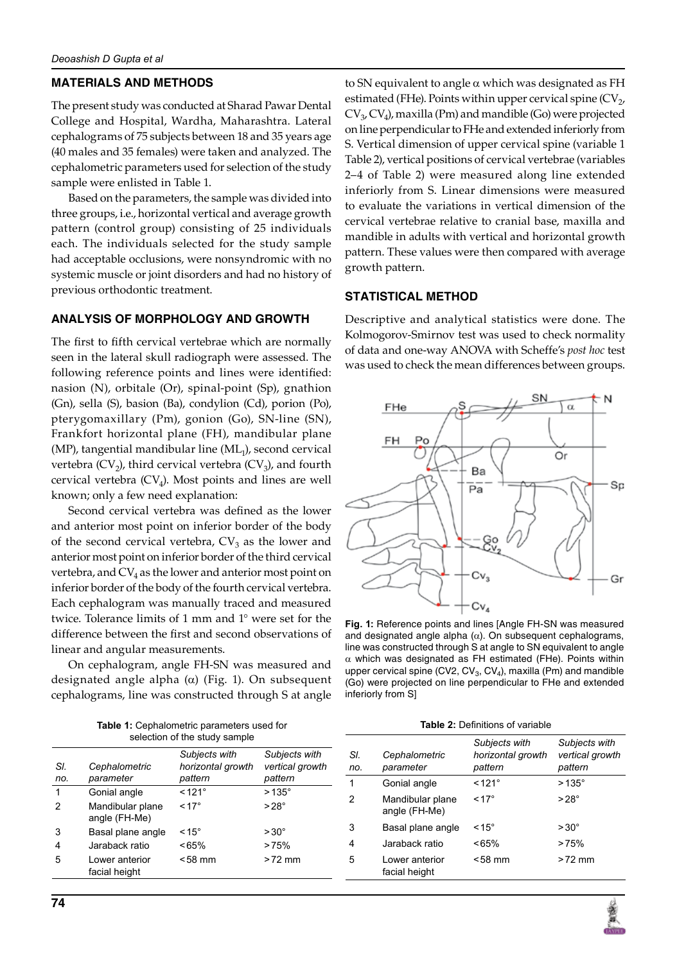# **MATERIALS AND METHODS**

The present study was conducted at Sharad Pawar Dental College and Hospital, Wardha, Maharashtra. Lateral cephalograms of 75 subjects between 18 and 35 years age (40 males and 35 females) were taken and analyzed. The cephalometric parameters used for selection of the study sample were enlisted in Table 1.

Based on the parameters, the sample was divided into three groups, i.e., horizontal vertical and average growth pattern (control group) consisting of 25 individuals each. The individuals selected for the study sample had acceptable occlusions, were nonsyndromic with no systemic muscle or joint disorders and had no history of previous orthodontic treatment.

# **ANALYSIS OF MORPHOLOGY AND GROWTH**

The first to fifth cervical vertebrae which are normally seen in the lateral skull radiograph were assessed. The following reference points and lines were identified: nasion (N), orbitale (Or), spinal-point (Sp), gnathion (Gn), sella (S), basion (Ba), condylion (Cd), porion (Po), pterygomaxillary (Pm), gonion (Go), SN-line (SN), Frankfort horizontal plane (FH), mandibular plane  $(MP)$ , tangential mandibular line  $(ML<sub>1</sub>)$ , second cervical vertebra  $(CV_2)$ , third cervical vertebra  $(CV_3)$ , and fourth cervical vertebra  $(CV_4)$ . Most points and lines are well known; only a few need explanation:

Second cervical vertebra was defined as the lower and anterior most point on inferior border of the body of the second cervical vertebra,  $CV_3$  as the lower and anterior most point on inferior border of the third cervical vertebra, and  $CV_4$  as the lower and anterior most point on inferior border of the body of the fourth cervical vertebra. Each cephalogram was manually traced and measured twice. Tolerance limits of 1 mm and 1° were set for the difference between the first and second observations of linear and angular measurements.

On cephalogram, angle FH-SN was measured and designated angle alpha  $(\alpha)$  (Fig. 1). On subsequent cephalograms, line was constructed through S at angle

to SN equivalent to angle  $\alpha$  which was designated as FH estimated (FHe). Points within upper cervical spine  $(CV_2)$ ,  $CV_3$ ,  $CV_4$ ), maxilla (Pm) and mandible (Go) were projected on line perpendicular to FHe and extended inferiorly from S. Vertical dimension of upper cervical spine (variable 1 Table 2), vertical positions of cervical vertebrae (variables 2–4 of Table 2) were measured along line extended inferiorly from S. Linear dimensions were measured to evaluate the variations in vertical dimension of the cervical vertebrae relative to cranial base, maxilla and mandible in adults with vertical and horizontal growth pattern. These values were then compared with average growth pattern.

# **STATISTICAL METHOD**

Descriptive and analytical statistics were done. The Kolmogorov-Smirnov test was used to check normality of data and one-way ANOVA with Scheffe's *post hoc* test was used to check the mean differences between groups.



**Fig. 1:** Reference points and lines [Angle FH-SN was measured and designated angle alpha  $(\alpha)$ . On subsequent cephalograms, line was constructed through S at angle to SN equivalent to angle  $\alpha$  which was designated as FH estimated (FHe). Points within upper cervical spine (CV2, CV $_3$ , CV<sub>4</sub>), maxilla (Pm) and mandible (Go) were projected on line perpendicular to FHe and extended inferiorly from S]

**Table 2:** Definitions of variable

| <b>Table 1:</b> Cephalometric parameters used for |  |  |  |  |  |
|---------------------------------------------------|--|--|--|--|--|
| selection of the study sample                     |  |  |  |  |  |

| SI.<br>no. | Cephalometric<br>parameter        | Subjects with<br>horizontal growth<br>pattern | Subjects with<br>vertical growth<br>pattern |  |  |
|------------|-----------------------------------|-----------------------------------------------|---------------------------------------------|--|--|
| 1          | Gonial angle                      | $< 121^\circ$                                 | $>135^\circ$                                |  |  |
| 2          | Mandibular plane<br>angle (FH-Me) | $< 17^{\circ}$                                | $>28^\circ$                                 |  |  |
| 3          | Basal plane angle                 | $< 15^{\circ}$                                | $>30^{\circ}$                               |  |  |
| 4          | Jaraback ratio                    | <65%                                          | >75%                                        |  |  |
| 5          | Lower anterior<br>facial height   | $<$ 58 mm                                     | $>72$ mm                                    |  |  |

| SI.<br>no. | Cephalometric<br>parameter        | Subjects with<br>horizontal growth<br>pattern | Subjects with<br>vertical growth<br>pattern |
|------------|-----------------------------------|-----------------------------------------------|---------------------------------------------|
| 1          | Gonial angle                      | $< 121^\circ$                                 | $>135^\circ$                                |
| 2          | Mandibular plane<br>angle (FH-Me) | $< 17^{\circ}$                                | $>28^\circ$                                 |
| 3          | Basal plane angle                 | $< 15^{\circ}$                                | $>30^{\circ}$                               |
| 4          | Jaraback ratio                    | <65%                                          | >75%                                        |
| 5          | Lower anterior<br>facial height   | <58 mm                                        | $>72$ mm                                    |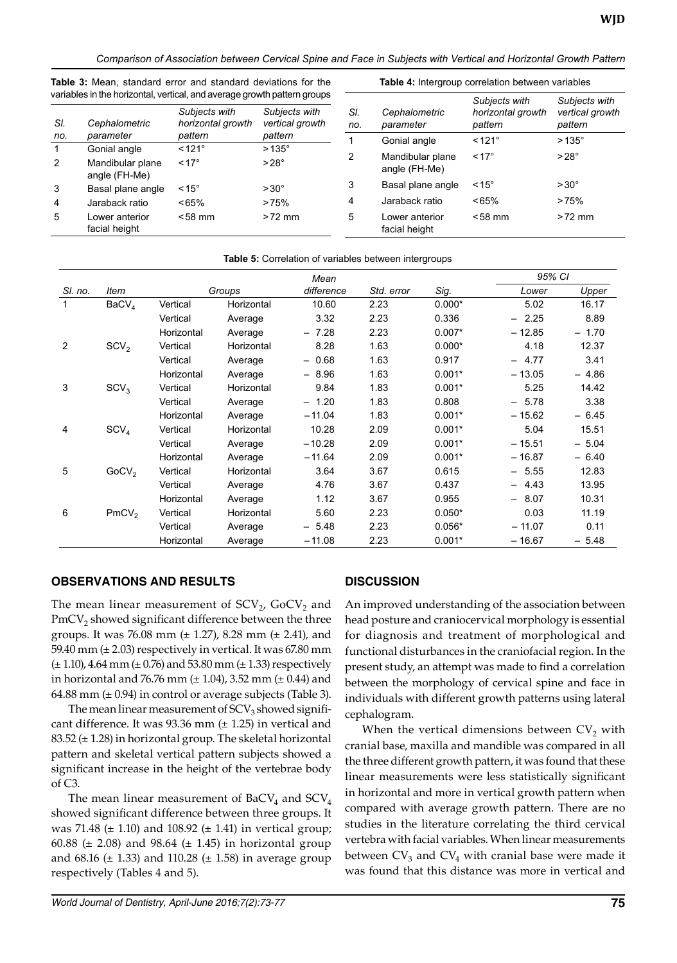*Comparison of Association between Cervical Spine and Face in Subjects with Vertical and Horizontal Growth Pattern*

|                | variables in the horizontal, vertical, and average growth pattern groups |                                    |                                  |            |                                   | Subjects with                | Subjects with              |
|----------------|--------------------------------------------------------------------------|------------------------------------|----------------------------------|------------|-----------------------------------|------------------------------|----------------------------|
| SI.            | Cephalometric                                                            | Subjects with<br>horizontal growth | Subjects with<br>vertical growth | SI.<br>no. | Cephalometric<br>parameter        | horizontal growth<br>pattern | vertical growth<br>pattern |
| no.            | parameter                                                                | pattern                            | pattern                          |            | Gonial angle                      | $< 121^\circ$                | $>135^\circ$               |
| $\mathbf{1}$   | Gonial angle                                                             | $< 121^\circ$                      | $>135^\circ$                     |            |                                   |                              |                            |
| $\overline{2}$ | Mandibular plane<br>angle (FH-Me)                                        | $< 17^{\circ}$                     | $>28^\circ$                      | 2          | Mandibular plane<br>angle (FH-Me) | $< 17^{\circ}$               | $>28^\circ$                |
| 3              | Basal plane angle                                                        | $< 15^{\circ}$                     | $>30^{\circ}$                    | 3          | Basal plane angle                 | $~15^{\circ}$                | $>30^{\circ}$              |
| $\overline{4}$ | Jaraback ratio                                                           | <65%                               | >75%                             | 4          | Jaraback ratio                    | ~165%                        | >75%                       |
| 5              | Lower anterior<br>facial height                                          | $< 58$ mm                          | $>72$ mm                         | 5          | Lower anterior<br>facial height   | $< 58$ mm                    | $>72$ mm                   |
|                |                                                                          |                                    |                                  |            |                                   |                              |                            |

**Table 5:** Correlation of variables between intergroups

**Table 3:** Mean, standard error and standard deviations for the

**Table 4:** Intergroup correlation between variables

|         |                   |            | Mean       |                                  |            |          | 95% CI   |         |
|---------|-------------------|------------|------------|----------------------------------|------------|----------|----------|---------|
| SI. no. | ltem              |            | Groups     | difference                       | Std. error | Sig.     | Lower    | Upper   |
| 1       | BaCV <sub>4</sub> | Vertical   | Horizontal | 10.60                            | 2.23       | $0.000*$ | 5.02     | 16.17   |
|         |                   | Vertical   | Average    | 3.32                             | 2.23       | 0.336    | $-2.25$  | 8.89    |
|         |                   | Horizontal | Average    | $-7.28$                          | 2.23       | $0.007*$ | $-12.85$ | $-1.70$ |
| 2       | SCV <sub>2</sub>  | Vertical   | Horizontal | 8.28                             | 1.63       | $0.000*$ | 4.18     | 12.37   |
|         |                   | Vertical   | Average    | 0.68                             | 1.63       | 0.917    | 4.77     | 3.41    |
|         |                   | Horizontal | Average    | 8.96<br>$\overline{\phantom{0}}$ | 1.63       | $0.001*$ | $-13.05$ | $-4.86$ |
| 3       | SCV <sub>3</sub>  | Vertical   | Horizontal | 9.84                             | 1.83       | $0.001*$ | 5.25     | 14.42   |
|         |                   | Vertical   | Average    | $-1.20$                          | 1.83       | 0.808    | $-5.78$  | 3.38    |
|         |                   | Horizontal | Average    | $-11.04$                         | 1.83       | $0.001*$ | $-15.62$ | $-6.45$ |
| 4       | SCV <sub>4</sub>  | Vertical   | Horizontal | 10.28                            | 2.09       | $0.001*$ | 5.04     | 15.51   |
|         |                   | Vertical   | Average    | $-10.28$                         | 2.09       | $0.001*$ | $-15.51$ | $-5.04$ |
|         |                   | Horizontal | Average    | $-11.64$                         | 2.09       | $0.001*$ | $-16.87$ | $-6.40$ |
| 5       | GoCV <sub>2</sub> | Vertical   | Horizontal | 3.64                             | 3.67       | 0.615    | $-5.55$  | 12.83   |
|         |                   | Vertical   | Average    | 4.76                             | 3.67       | 0.437    | $-4.43$  | 13.95   |
|         |                   | Horizontal | Average    | 1.12                             | 3.67       | 0.955    | $-8.07$  | 10.31   |
| 6       | PmCV <sub>2</sub> | Vertical   | Horizontal | 5.60                             | 2.23       | $0.050*$ | 0.03     | 11.19   |
|         |                   | Vertical   | Average    | 5.48                             | 2.23       | $0.056*$ | $-11.07$ | 0.11    |
|         |                   | Horizontal | Average    | $-11.08$                         | 2.23       | $0.001*$ | $-16.67$ | $-5.48$ |

# **OBSERVATIONS AND RESULTS**

The mean linear measurement of  $SCV<sub>2</sub>$ , GoCV<sub>2</sub> and  $PmCV<sub>2</sub>$  showed significant difference between the three groups. It was 76.08 mm  $(\pm 1.27)$ , 8.28 mm  $(\pm 2.41)$ , and 59.40 mm  $(\pm 2.03)$  respectively in vertical. It was 67.80 mm  $(\pm 1.10)$ , 4.64 mm  $(\pm 0.76)$  and 53.80 mm  $(\pm 1.33)$  respectively in horizontal and 76.76 mm  $(\pm 1.04)$ , 3.52 mm  $(\pm 0.44)$  and 64.88 mm  $(\pm 0.94)$  in control or average subjects (Table 3).

The mean linear measurement of  $SCV<sub>3</sub>$  showed significant difference. It was  $93.36$  mm ( $\pm$  1.25) in vertical and 83.52 (± 1.28) in horizontal group. The skeletal horizontal pattern and skeletal vertical pattern subjects showed a significant increase in the height of the vertebrae body of C3.

The mean linear measurement of  $BaCV<sub>4</sub>$  and  $SCV<sub>4</sub>$ showed significant difference between three groups. It was 71.48 ( $\pm$  1.10) and 108.92 ( $\pm$  1.41) in vertical group; 60.88 ( $\pm$  2.08) and 98.64 ( $\pm$  1.45) in horizontal group and  $68.16$  ( $\pm$  1.33) and 110.28 ( $\pm$  1.58) in average group respectively (Tables 4 and 5).

# **DISCUSSION**

An improved understanding of the association between head posture and craniocervical morphology is essential for diagnosis and treatment of morphological and functional disturbances in the craniofacial region. In the present study, an attempt was made to find a correlation between the morphology of cervical spine and face in individuals with different growth patterns using lateral cephalogram.

When the vertical dimensions between  $CV_2$  with cranial base, maxilla and mandible was compared in all the three different growth pattern, it was found that these linear measurements were less statistically significant in horizontal and more in vertical growth pattern when compared with average growth pattern. There are no studies in the literature correlating the third cervical vertebra with facial variables. When linear measurements between  $CV_3$  and  $CV_4$  with cranial base were made it was found that this distance was more in vertical and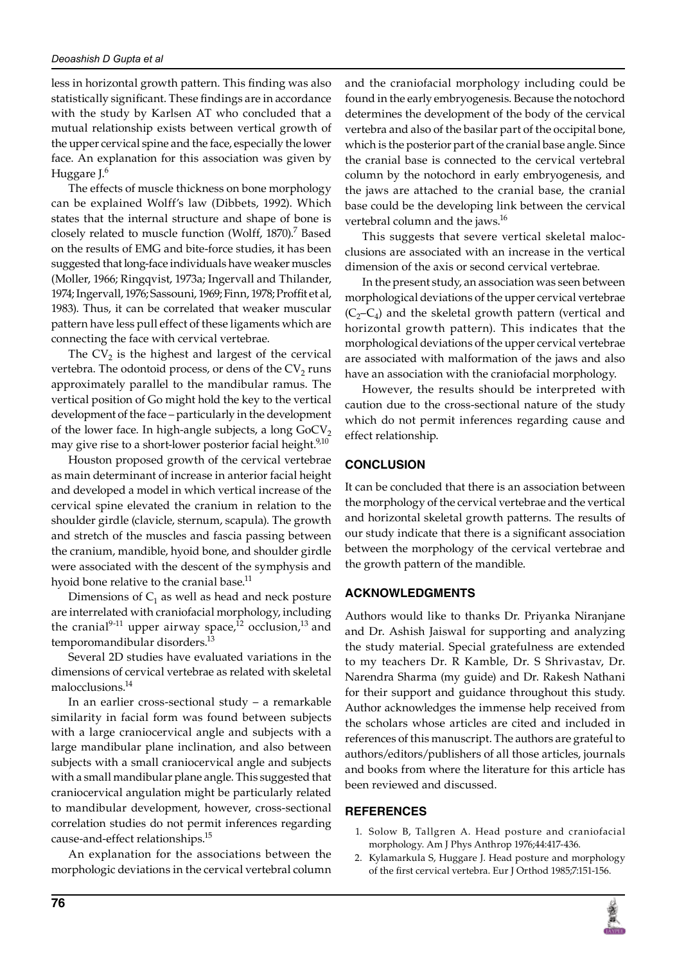less in horizontal growth pattern. This finding was also statistically significant. These findings are in accordance with the study by Karlsen AT who concluded that a mutual relationship exists between vertical growth of the upper cervical spine and the face, especially the lower face. An explanation for this association was given by Huggare J.6

The effects of muscle thickness on bone morphology can be explained Wolff's law (Dibbets, 1992). Which states that the internal structure and shape of bone is closely related to muscle function (Wolff, 1870).<sup>7</sup> Based on the results of EMG and bite-force studies, it has been suggested that long-face individuals have weaker muscles (Moller, 1966; Ringqvist, 1973a; Ingervall and Thilander, 1974; Ingervall, 1976; Sassouni, 1969; Finn, 1978; Proffit et al, 1983). Thus, it can be correlated that weaker muscular pattern have less pull effect of these ligaments which are connecting the face with cervical vertebrae.

The  $CV_2$  is the highest and largest of the cervical vertebra. The odontoid process, or dens of the  $CV_2$  runs approximately parallel to the mandibular ramus. The vertical position of Go might hold the key to the vertical development of the face – particularly in the development of the lower face. In high-angle subjects, a long  $GoCV_2$ may give rise to a short-lower posterior facial height.<sup>9,10</sup>

Houston proposed growth of the cervical vertebrae as main determinant of increase in anterior facial height and developed a model in which vertical increase of the cervical spine elevated the cranium in relation to the shoulder girdle (clavicle, sternum, scapula). The growth and stretch of the muscles and fascia passing between the cranium, mandible, hyoid bone, and shoulder girdle were associated with the descent of the symphysis and hyoid bone relative to the cranial base.<sup>11</sup>

Dimensions of  $C_1$  as well as head and neck posture are interrelated with craniofacial morphology, including the cranial<sup>9-11</sup> upper airway space,<sup>12</sup> occlusion,<sup>13</sup> and temporomandibular disorders.<sup>13</sup>

Several 2D studies have evaluated variations in the dimensions of cervical vertebrae as related with skeletal malocclusions.<sup>14</sup>

In an earlier cross-sectional study – a remarkable similarity in facial form was found between subjects with a large craniocervical angle and subjects with a large mandibular plane inclination, and also between subjects with a small craniocervical angle and subjects with a small mandibular plane angle. This suggested that craniocervical angulation might be particularly related to mandibular development, however, cross-sectional correlation studies do not permit inferences regarding cause-and-effect relationships.15

An explanation for the associations between the morphologic deviations in the cervical vertebral column and the craniofacial morphology including could be found in the early embryogenesis. Because the notochord determines the development of the body of the cervical vertebra and also of the basilar part of the occipital bone, which is the posterior part of the cranial base angle. Since the cranial base is connected to the cervical vertebral column by the notochord in early embryogenesis, and the jaws are attached to the cranial base, the cranial base could be the developing link between the cervical vertebral column and the jaws.<sup>16</sup>

This suggests that severe vertical skeletal malocclusions are associated with an increase in the vertical dimension of the axis or second cervical vertebrae.

In the present study, an association was seen between morphological deviations of the upper cervical vertebrae  $(C_2-C_4)$  and the skeletal growth pattern (vertical and horizontal growth pattern). This indicates that the morphological deviations of the upper cervical vertebrae are associated with malformation of the jaws and also have an association with the craniofacial morphology.

However, the results should be interpreted with caution due to the cross-sectional nature of the study which do not permit inferences regarding cause and effect relationship.

# **CONCLUSION**

It can be concluded that there is an association between the morphology of the cervical vertebrae and the vertical and horizontal skeletal growth patterns. The results of our study indicate that there is a significant association between the morphology of the cervical vertebrae and the growth pattern of the mandible.

# **ACKNOWLEDGMENTS**

Authors would like to thanks Dr. Priyanka Niranjane and Dr. Ashish Jaiswal for supporting and analyzing the study material. Special gratefulness are extended to my teachers Dr. R Kamble, Dr. S Shrivastav, Dr. Narendra Sharma (my guide) and Dr. Rakesh Nathani for their support and guidance throughout this study. Author acknowledges the immense help received from the scholars whose articles are cited and included in references of this manuscript. The authors are grateful to authors/editors/publishers of all those articles, journals and books from where the literature for this article has been reviewed and discussed.

### **REFERENCES**

- 1. Solow B, Tallgren A. Head posture and craniofacial morphology. Am J Phys Anthrop 1976;44:417-436.
- Kylamarkula S, Huggare J. Head posture and morphology of the first cervical vertebra. Eur J Orthod 1985;7:151-156.